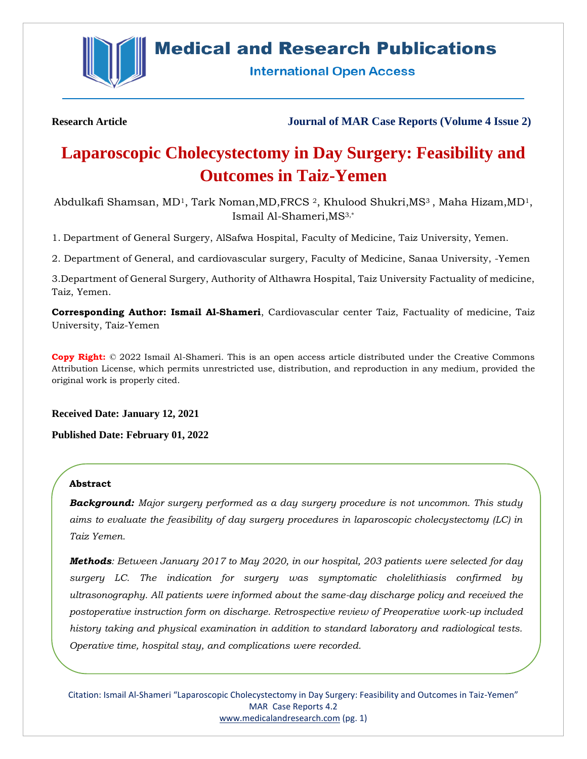

# **Medical and Research Publications**

**International Open Access** 

**Research Article Journal of MAR Case Reports (Volume 4 Issue 2)**

# **Laparoscopic Cholecystectomy in Day Surgery: Feasibility and Outcomes in Taiz-Yemen**

Abdulkafi Shamsan, MD<sup>1</sup>, Tark Noman, MD, FRCS <sup>2</sup>, Khulood Shukri, MS<sup>3</sup>, Maha Hizam, MD<sup>1</sup>, Ismail Al-Shameri,MS3,\*

1. Department of General Surgery, AlSafwa Hospital, Faculty of Medicine, Taiz University, Yemen.

2. Department of General, and cardiovascular surgery, Faculty of Medicine, Sanaa University, -Yemen

3.Department of General Surgery, Authority of Althawra Hospital, Taiz University Factuality of medicine, Taiz, Yemen.

**Corresponding Author: Ismail Al-Shameri**, Cardiovascular center Taiz, Factuality of medicine, Taiz University, Taiz-Yemen

**Copy Right:** © 2022 Ismail Al-Shameri. This is an open access article distributed under the Creative Commons Attribution License, which permits unrestricted use, distribution, and reproduction in any medium, provided the original work is properly cited.

**Received Date: January 12, 2021**

**Published Date: February 01, 2022**

## **Abstract**

*Background: Major surgery performed as a day surgery procedure is not uncommon. This study aims to evaluate the feasibility of day surgery procedures in laparoscopic cholecystectomy (LC) in Taiz Yemen.* 

*Methods: Between January 2017 to May 2020, in our hospital, 203 patients were selected for day surgery LC. The indication for surgery was symptomatic cholelithiasis confirmed by ultrasonography. All patients were informed about the same-day discharge policy and received the postoperative instruction form on discharge. Retrospective review of Preoperative work-up included history taking and physical examination in addition to standard laboratory and radiological tests. Operative time, hospital stay, and complications were recorded.*

Citation: Ismail Al-Shameri "Laparoscopic Cholecystectomy in Day Surgery: Feasibility and Outcomes in Taiz-Yemen" MAR Case Reports 4.2 [www.medicalandresearch.com](http://www.medicalandresearch.com/) (pg. 1)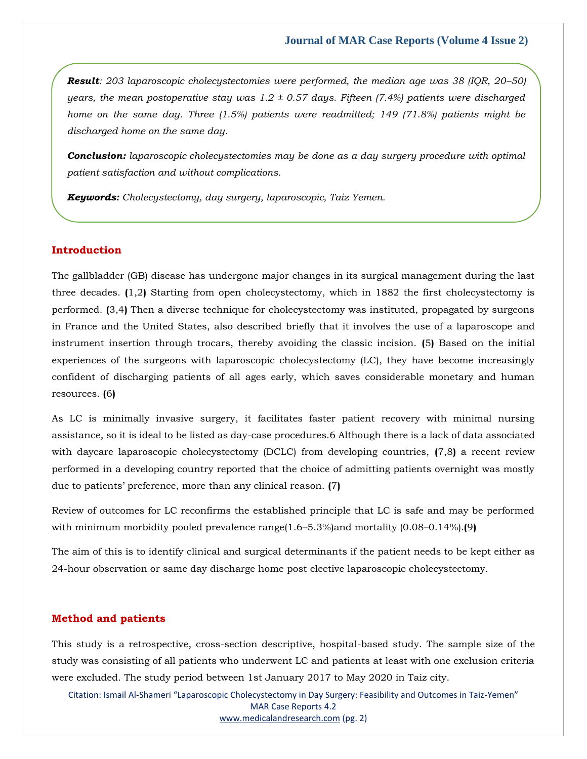*Result: 203 laparoscopic cholecystectomies were performed, the median age was 38 (IQR, 20–50) years, the mean postoperative stay was 1.2 ± 0.57 days. Fifteen (7.4%) patients were discharged home on the same day. Three (1.5%) patients were readmitted; 149 (71.8%) patients might be discharged home on the same day.* 

*Conclusion: laparoscopic cholecystectomies may be done as a day surgery procedure with optimal patient satisfaction and without complications.*

*Keywords: Cholecystectomy, day surgery, laparoscopic, Taiz Yemen.*

# **Introduction**

The gallbladder (GB) disease has undergone major changes in its surgical management during the last three decades. **(**1,2**)** Starting from open cholecystectomy, which in 1882 the first cholecystectomy is performed. **(**3,4**)** Then a diverse technique for cholecystectomy was instituted, propagated by surgeons in France and the United States, also described briefly that it involves the use of a laparoscope and instrument insertion through trocars, thereby avoiding the classic incision. **(**5**)** Based on the initial experiences of the surgeons with laparoscopic cholecystectomy (LC), they have become increasingly confident of discharging patients of all ages early, which saves considerable monetary and human resources. **(**6**)**

As LC is minimally invasive surgery, it facilitates faster patient recovery with minimal nursing assistance, so it is ideal to be listed as day-case procedures.6 Although there is a lack of data associated with daycare laparoscopic cholecystectomy (DCLC) from developing countries, **(**7,8**)** a recent review performed in a developing country reported that the choice of admitting patients overnight was mostly due to patients' preference, more than any clinical reason. **(**7**)**

Review of outcomes for LC reconfirms the established principle that LC is safe and may be performed with minimum morbidity pooled prevalence range(1.6–5.3%)and mortality (0.08–0.14%).**(**9**)**

The aim of this is to identify clinical and surgical determinants if the patient needs to be kept either as 24-hour observation or same day discharge home post elective laparoscopic cholecystectomy.

## **Method and patients**

This study is a retrospective, cross-section descriptive, hospital-based study. The sample size of the study was consisting of all patients who underwent LC and patients at least with one exclusion criteria were excluded. The study period between 1st January 2017 to May 2020 in Taiz city.

Citation: Ismail Al-Shameri "Laparoscopic Cholecystectomy in Day Surgery: Feasibility and Outcomes in Taiz-Yemen" MAR Case Reports 4.2 [www.medicalandresearch.com](http://www.medicalandresearch.com/) (pg. 2)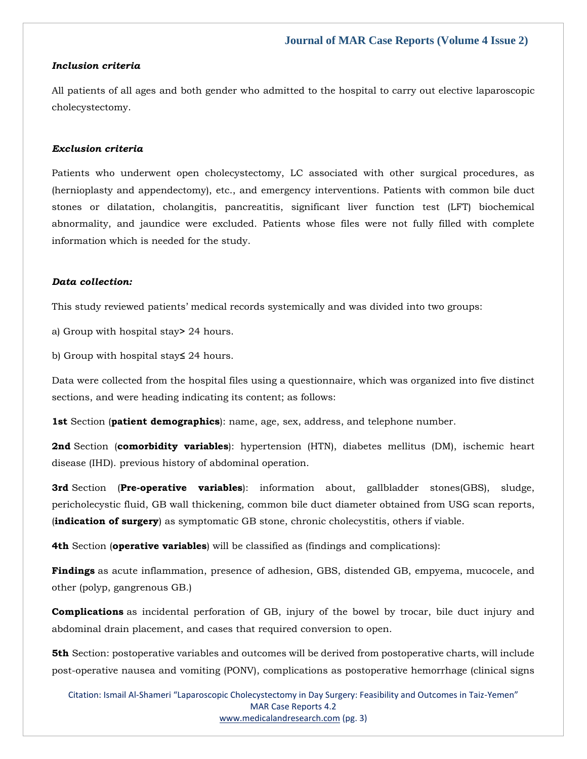#### *Inclusion criteria*

All patients of all ages and both gender who admitted to the hospital to carry out elective laparoscopic cholecystectomy.

## *Exclusion criteria*

Patients who underwent open cholecystectomy, LC associated with other surgical procedures, as (hernioplasty and appendectomy), etc., and emergency interventions. Patients with common bile duct stones or dilatation, cholangitis, pancreatitis, significant liver function test (LFT) biochemical abnormality, and jaundice were excluded. Patients whose files were not fully filled with complete information which is needed for the study.

## *Data collection:*

This study reviewed patients' medical records systemically and was divided into two groups:

a) Group with hospital stay**>** 24 hours.

b) Group with hospital stay**≤** 24 hours.

Data were collected from the hospital files using a questionnaire, which was organized into five distinct sections, and were heading indicating its content; as follows:

**1st** Section (**patient demographics**): name, age, sex, address, and telephone number.

**2nd** Section (**comorbidity variables**): hypertension (HTN), diabetes mellitus (DM), ischemic heart disease (IHD). previous history of abdominal operation.

**3rd** Section (**Pre-operative variables**): information about, gallbladder stones(GBS), sludge, pericholecystic fluid, GB wall thickening, common bile duct diameter obtained from USG scan reports, (**indication of surgery**) as symptomatic GB stone, chronic cholecystitis, others if viable.

**4th** Section (**operative variables**) will be classified as (findings and complications):

**Findings** as acute inflammation, presence of adhesion, GBS, distended GB, empyema, mucocele, and other (polyp, gangrenous GB.)

**Complications** as incidental perforation of GB, injury of the bowel by trocar, bile duct injury and abdominal drain placement, and cases that required conversion to open.

**5th** Section: postoperative variables and outcomes will be derived from postoperative charts, will include post-operative nausea and vomiting (PONV), complications as postoperative hemorrhage (clinical signs

Citation: Ismail Al-Shameri "Laparoscopic Cholecystectomy in Day Surgery: Feasibility and Outcomes in Taiz-Yemen" MAR Case Reports 4.2 [www.medicalandresearch.com](http://www.medicalandresearch.com/) (pg. 3)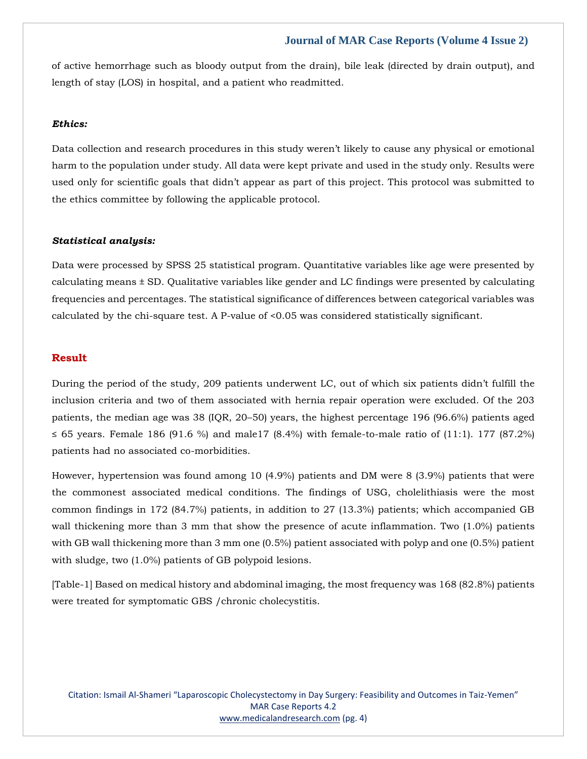of active hemorrhage such as bloody output from the drain), bile leak (directed by drain output), and length of stay (LOS) in hospital, and a patient who readmitted.

#### *Ethics:*

Data collection and research procedures in this study weren't likely to cause any physical or emotional harm to the population under study. All data were kept private and used in the study only. Results were used only for scientific goals that didn't appear as part of this project. This protocol was submitted to the ethics committee by following the applicable protocol.

#### *Statistical analysis:*

Data were processed by SPSS 25 statistical program. Quantitative variables like age were presented by calculating means ± SD. Qualitative variables like gender and LC findings were presented by calculating frequencies and percentages. The statistical significance of differences between categorical variables was calculated by the chi-square test. A P-value of <0.05 was considered statistically significant.

# **Result**

During the period of the study, 209 patients underwent LC, out of which six patients didn't fulfill the inclusion criteria and two of them associated with hernia repair operation were excluded. Of the 203 patients, the median age was 38 (IQR, 20–50) years, the highest percentage 196 (96.6%) patients aged ≤ 65 years. Female 186 (91.6 %) and male17 (8.4%) with female-to-male ratio of (11:1). 177 (87.2%) patients had no associated co-morbidities.

However, hypertension was found among 10 (4.9%) patients and DM were 8 (3.9%) patients that were the commonest associated medical conditions. The findings of USG, cholelithiasis were the most common findings in 172 (84.7%) patients, in addition to 27 (13.3%) patients; which accompanied GB wall thickening more than 3 mm that show the presence of acute inflammation. Two (1.0%) patients with GB wall thickening more than 3 mm one (0.5%) patient associated with polyp and one (0.5%) patient with sludge, two (1.0%) patients of GB polypoid lesions.

[Table-1] Based on medical history and abdominal imaging, the most frequency was 168 (82.8%) patients were treated for symptomatic GBS /chronic cholecystitis.

Citation: Ismail Al-Shameri "Laparoscopic Cholecystectomy in Day Surgery: Feasibility and Outcomes in Taiz-Yemen" MAR Case Reports 4.2 [www.medicalandresearch.com](http://www.medicalandresearch.com/) (pg. 4)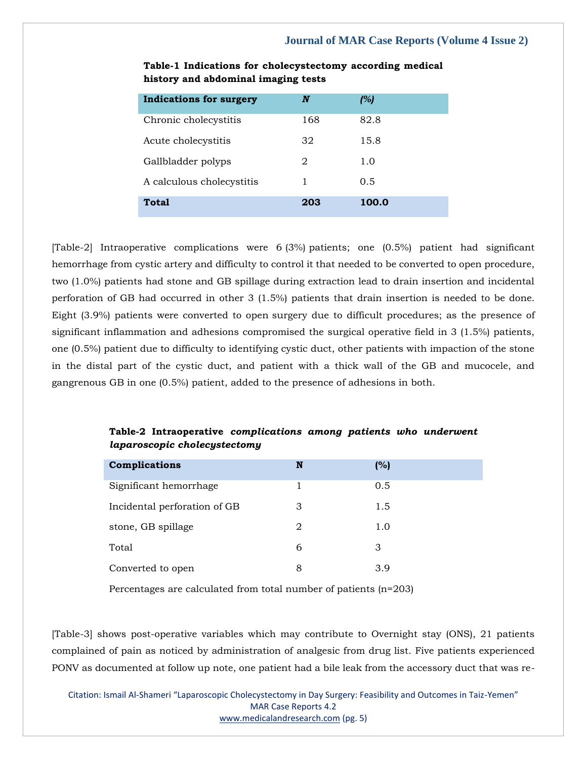| <b>Indications for surgery</b> | N   | (%)   |
|--------------------------------|-----|-------|
| Chronic cholecystitis          | 168 | 82.8  |
| Acute cholecystitis            | 32  | 15.8  |
| Gallbladder polyps             | 2   | 1.0   |
| A calculous cholecystitis      | 1   | 0.5   |
| Total                          | 203 | 100.0 |

**Table-1 Indications for cholecystectomy according medical history and abdominal imaging tests**

[Table-2] Intraoperative complications were 6 (3%) patients; one (0.5%) patient had significant hemorrhage from cystic artery and difficulty to control it that needed to be converted to open procedure, two (1.0%) patients had stone and GB spillage during extraction lead to drain insertion and incidental perforation of GB had occurred in other 3 (1.5%) patients that drain insertion is needed to be done. Eight (3.9%) patients were converted to open surgery due to difficult procedures; as the presence of significant inflammation and adhesions compromised the surgical operative field in 3 (1.5%) patients, one (0.5%) patient due to difficulty to identifying cystic duct, other patients with impaction of the stone in the distal part of the cystic duct, and patient with a thick wall of the GB and mucocele, and gangrenous GB in one (0.5%) patient, added to the presence of adhesions in both.

# **Table-2 Intraoperative** *complications among patients who underwent laparoscopic cholecystectomy*

| Complications                | N | (%) |
|------------------------------|---|-----|
| Significant hemorrhage       |   | 0.5 |
| Incidental perforation of GB | З | 1.5 |
| stone, GB spillage           | 2 | 1.0 |
| Total                        | 6 | З   |
| Converted to open            | 8 | 3.9 |

Percentages are calculated from total number of patients (n=203)

[Table-3] shows post-operative variables which may contribute to Overnight stay (ONS), 21 patients complained of pain as noticed by administration of analgesic from drug list. Five patients experienced PONV as documented at follow up note, one patient had a bile leak from the accessory duct that was re-

Citation: Ismail Al-Shameri "Laparoscopic Cholecystectomy in Day Surgery: Feasibility and Outcomes in Taiz-Yemen" MAR Case Reports 4.2 [www.medicalandresearch.com](http://www.medicalandresearch.com/) (pg. 5)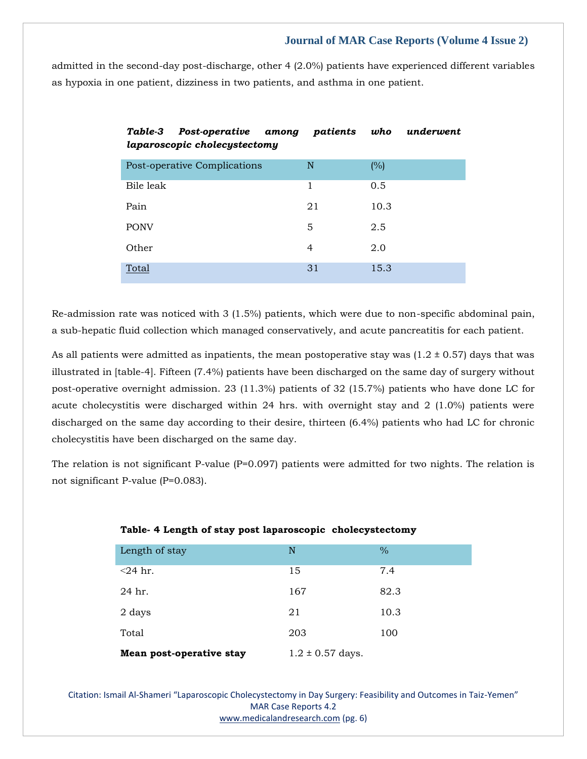admitted in the second-day post-discharge, other 4 (2.0%) patients have experienced different variables as hypoxia in one patient, dizziness in two patients, and asthma in one patient.

| Table-3<br>Post-operative among<br>laparoscopic cholecystectomy | patients | who  | underwent |
|-----------------------------------------------------------------|----------|------|-----------|
| Post-operative Complications                                    | N        | (%)  |           |
| Bile leak                                                       | 1        | 0.5  |           |
| Pain                                                            | 21       | 10.3 |           |
| <b>PONV</b>                                                     | 5        | 2.5  |           |
| Other                                                           | 4        | 2.0  |           |
| Total                                                           | 31       | 15.3 |           |

Re-admission rate was noticed with 3 (1.5%) patients, which were due to non-specific abdominal pain, a sub-hepatic fluid collection which managed conservatively, and acute pancreatitis for each patient.

As all patients were admitted as inpatients, the mean postoperative stay was  $(1.2 \pm 0.57)$  days that was illustrated in [table-4]. Fifteen (7.4%) patients have been discharged on the same day of surgery without post-operative overnight admission. 23 (11.3%) patients of 32 (15.7%) patients who have done LC for acute cholecystitis were discharged within 24 hrs. with overnight stay and 2 (1.0%) patients were discharged on the same day according to their desire, thirteen (6.4%) patients who had LC for chronic cholecystitis have been discharged on the same day.

The relation is not significant P-value (P=0.097) patients were admitted for two nights. The relation is not significant P-value (P=0.083).

| Mean post-operative stay | $1.2 \pm 0.57$ days. |               |  |  |
|--------------------------|----------------------|---------------|--|--|
| Total                    | 203                  | 100           |  |  |
| 2 days                   | 21                   | 10.3          |  |  |
| 24 hr.                   | 167                  | 82.3          |  |  |
| $<$ 24 hr.               | 15                   | 7.4           |  |  |
| Length of stay           | N                    | $\frac{0}{0}$ |  |  |
|                          |                      |               |  |  |

## **Table- 4 Length of stay post laparoscopic cholecystectomy**

Citation: Ismail Al-Shameri "Laparoscopic Cholecystectomy in Day Surgery: Feasibility and Outcomes in Taiz-Yemen" MAR Case Reports 4.2 [www.medicalandresearch.com](http://www.medicalandresearch.com/) (pg. 6)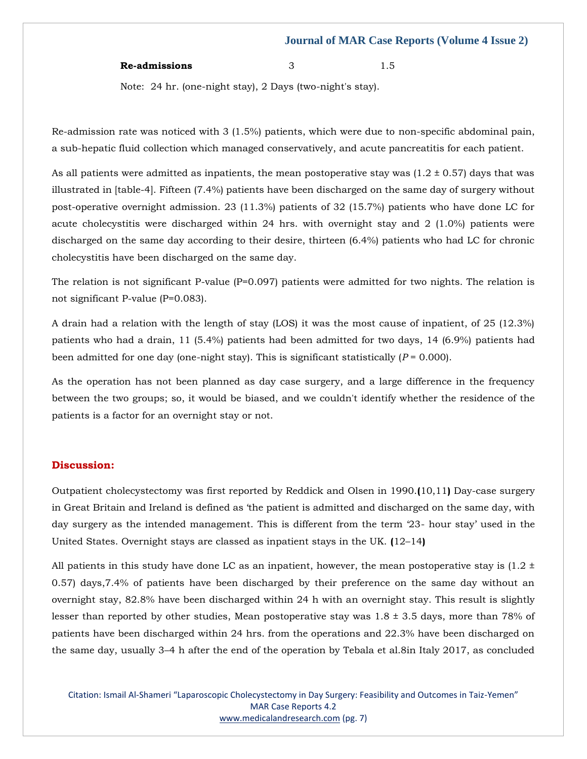#### **Re-admissions** 3 1.5

Note: 24 hr. (one-night stay), 2 Days (two-night's stay).

Re-admission rate was noticed with 3 (1.5%) patients, which were due to non-specific abdominal pain, a sub-hepatic fluid collection which managed conservatively, and acute pancreatitis for each patient.

As all patients were admitted as inpatients, the mean postoperative stay was  $(1.2 \pm 0.57)$  days that was illustrated in [table-4]. Fifteen (7.4%) patients have been discharged on the same day of surgery without post-operative overnight admission. 23 (11.3%) patients of 32 (15.7%) patients who have done LC for acute cholecystitis were discharged within 24 hrs. with overnight stay and 2 (1.0%) patients were discharged on the same day according to their desire, thirteen (6.4%) patients who had LC for chronic cholecystitis have been discharged on the same day.

The relation is not significant P-value  $(P=0.097)$  patients were admitted for two nights. The relation is not significant P-value (P=0.083).

A drain had a relation with the length of stay (LOS) it was the most cause of inpatient, of 25 (12.3%) patients who had a drain, 11 (5.4%) patients had been admitted for two days, 14 (6.9%) patients had been admitted for one day (one-night stay). This is significant statistically  $(P = 0.000)$ .

As the operation has not been planned as day case surgery, and a large difference in the frequency between the two groups; so, it would be biased, and we couldn't identify whether the residence of the patients is a factor for an overnight stay or not.

#### **Discussion:**

Outpatient cholecystectomy was first reported by Reddick and Olsen in 1990.**(**10,11**)** Day-case surgery in Great Britain and Ireland is defined as 'the patient is admitted and discharged on the same day, with day surgery as the intended management. This is different from the term '23- hour stay' used in the United States. Overnight stays are classed as inpatient stays in the UK. **(**12–14**)**

All patients in this study have done LC as an inpatient, however, the mean postoperative stay is  $(1.2 \pm 1.2)$ 0.57) days,7.4% of patients have been discharged by their preference on the same day without an overnight stay, 82.8% have been discharged within 24 h with an overnight stay. This result is slightly lesser than reported by other studies, Mean postoperative stay was  $1.8 \pm 3.5$  days, more than 78% of patients have been discharged within 24 hrs. from the operations and 22.3% have been discharged on the same day, usually 3–4 h after the end of the operation by Tebala et al.8in Italy 2017, as concluded

Citation: Ismail Al-Shameri "Laparoscopic Cholecystectomy in Day Surgery: Feasibility and Outcomes in Taiz-Yemen" MAR Case Reports 4.2 [www.medicalandresearch.com](http://www.medicalandresearch.com/) (pg. 7)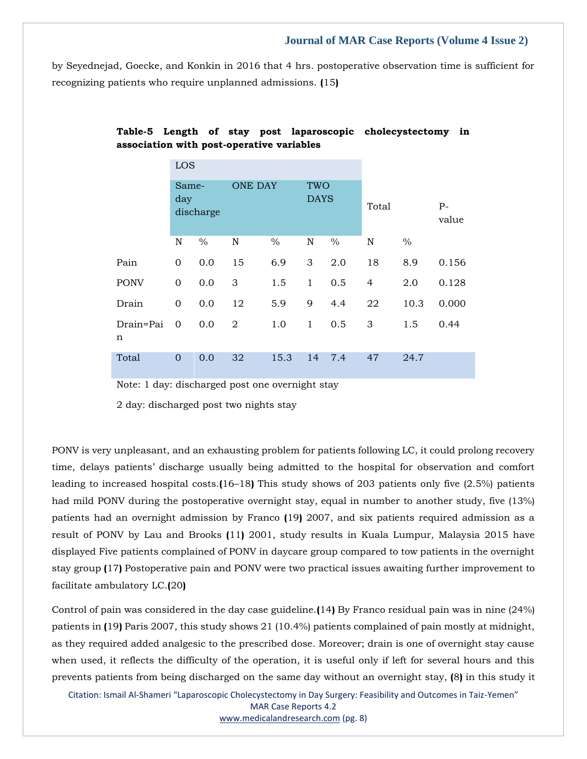by Seyednejad, Goecke, and Konkin in 2016 that 4 hrs. postoperative observation time is sufficient for recognizing patients who require unplanned admissions. **(**15**)**

|                | LOS                       |      |                |               |                    |      |                |      |               |
|----------------|---------------------------|------|----------------|---------------|--------------------|------|----------------|------|---------------|
|                | Same-<br>day<br>discharge |      | <b>ONE DAY</b> |               | TWO<br><b>DAYS</b> |      | Total          |      | $P-$<br>value |
|                | N                         | $\%$ | $\mathbf N$    | $\frac{0}{0}$ | $\mathbb N$        | $\%$ | N              | $\%$ |               |
| Pain           | $\mathbf 0$               | 0.0  | 15             | 6.9           | 3                  | 2.0  | 18             | 8.9  | 0.156         |
| <b>PONV</b>    | $\overline{0}$            | 0.0  | 3              | 1.5           | $\mathbf{1}$       | 0.5  | $\overline{4}$ | 2.0  | 0.128         |
| Drain          | 0                         | 0.0  | 12             | 5.9           | 9                  | 4.4  | 22             | 10.3 | 0.000         |
| Drain=Pai<br>n | $\mathbf 0$               | 0.0  | $\overline{2}$ | 1.0           | $\mathbf{1}$       | 0.5  | 3              | 1.5  | 0.44          |
| Total          | $\Omega$                  | 0.0  | 32             | 15.3          | 14                 | 7.4  | 47             | 24.7 |               |

# **Table-5 Length of stay post laparoscopic cholecystectomy in association with post-operative variables**

Note: 1 day: discharged post one overnight stay

2 day: discharged post two nights stay

PONV is very unpleasant, and an exhausting problem for patients following LC, it could prolong recovery time, delays patients' discharge usually being admitted to the hospital for observation and comfort leading to increased hospital costs.**(**16–18**)** This study shows of 203 patients only five (2.5%) patients had mild PONV during the postoperative overnight stay, equal in number to another study, five (13%) patients had an overnight admission by Franco **(**19**)** 2007, and six patients required admission as a result of PONV by Lau and Brooks **(**11**)** 2001, study results in Kuala Lumpur, Malaysia 2015 have displayed Five patients complained of PONV in daycare group compared to tow patients in the overnight stay group **(**17**)** Postoperative pain and PONV were two practical issues awaiting further improvement to facilitate ambulatory LC.**(**20**)**

Control of pain was considered in the day case guideline.**(**14**)** By Franco residual pain was in nine (24%) patients in **(**19**)** Paris 2007, this study shows 21 (10.4%) patients complained of pain mostly at midnight, as they required added analgesic to the prescribed dose. Moreover; drain is one of overnight stay cause when used, it reflects the difficulty of the operation, it is useful only if left for several hours and this prevents patients from being discharged on the same day without an overnight stay, **(**8**)** in this study it

Citation: Ismail Al-Shameri "Laparoscopic Cholecystectomy in Day Surgery: Feasibility and Outcomes in Taiz-Yemen" MAR Case Reports 4.2 [www.medicalandresearch.com](http://www.medicalandresearch.com/) (pg. 8)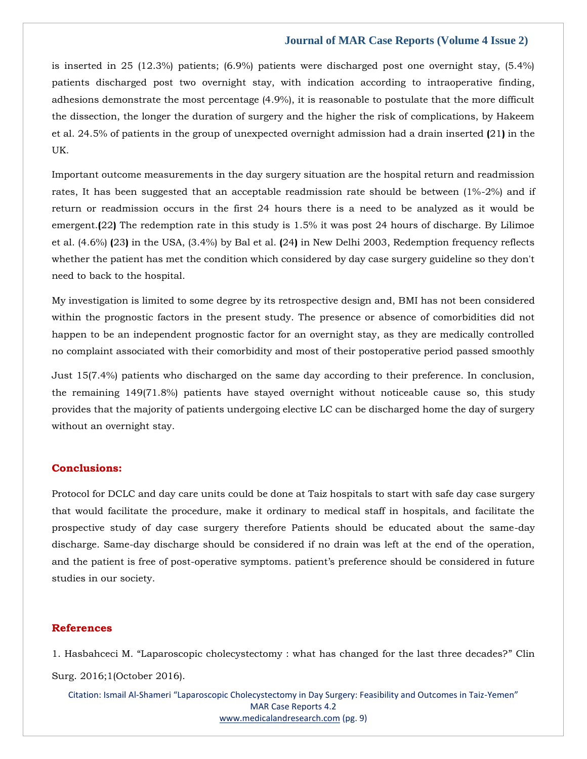is inserted in 25 (12.3%) patients; (6.9%) patients were discharged post one overnight stay, (5.4%) patients discharged post two overnight stay, with indication according to intraoperative finding, adhesions demonstrate the most percentage (4.9%), it is reasonable to postulate that the more difficult the dissection, the longer the duration of surgery and the higher the risk of complications, by Hakeem et al. 24.5% of patients in the group of unexpected overnight admission had a drain inserted **(**21**)** in the UK.

Important outcome measurements in the day surgery situation are the hospital return and readmission rates, It has been suggested that an acceptable readmission rate should be between (1%-2%) and if return or readmission occurs in the first 24 hours there is a need to be analyzed as it would be emergent.**(**22**)** The redemption rate in this study is 1.5% it was post 24 hours of discharge. By Lilimoe et al. (4.6%) **(**23**)** in the USA, (3.4%) by Bal et al. **(**24**)** in New Delhi 2003, Redemption frequency reflects whether the patient has met the condition which considered by day case surgery guideline so they don't need to back to the hospital.

My investigation is limited to some degree by its retrospective design and, BMI has not been considered within the prognostic factors in the present study. The presence or absence of comorbidities did not happen to be an independent prognostic factor for an overnight stay, as they are medically controlled no complaint associated with their comorbidity and most of their postoperative period passed smoothly

Just 15(7.4%) patients who discharged on the same day according to their preference. In conclusion, the remaining 149(71.8%) patients have stayed overnight without noticeable cause so, this study provides that the majority of patients undergoing elective LC can be discharged home the day of surgery without an overnight stay.

## **Conclusions:**

Protocol for DCLC and day care units could be done at Taiz hospitals to start with safe day case surgery that would facilitate the procedure, make it ordinary to medical staff in hospitals, and facilitate the prospective study of day case surgery therefore Patients should be educated about the same-day discharge. Same-day discharge should be considered if no drain was left at the end of the operation, and the patient is free of post-operative symptoms. patient's preference should be considered in future studies in our society.

# **References**

1. Hasbahceci M. "[Laparoscopic cholecystectomy : what has changed for the last three decades?](https://www.google.com/search?q=Laparoscopic+cholecystectomy+%3A+what+has+changed+for+the+last+three+decades%3F&oq=Laparoscopic+cholecystectomy+%3A+what+has+changed+for+the+last+three+decades%3F&aqs=chrome..69i57.306j0j7&sourceid=chrome&ie=UTF-8)" Clin [Surg. 2016;1\(October 2016\).](https://www.google.com/search?q=Laparoscopic+cholecystectomy+%3A+what+has+changed+for+the+last+three+decades%3F&oq=Laparoscopic+cholecystectomy+%3A+what+has+changed+for+the+last+three+decades%3F&aqs=chrome..69i57.306j0j7&sourceid=chrome&ie=UTF-8)

Citation: Ismail Al-Shameri "Laparoscopic Cholecystectomy in Day Surgery: Feasibility and Outcomes in Taiz-Yemen" MAR Case Reports 4.2 [www.medicalandresearch.com](http://www.medicalandresearch.com/) (pg. 9)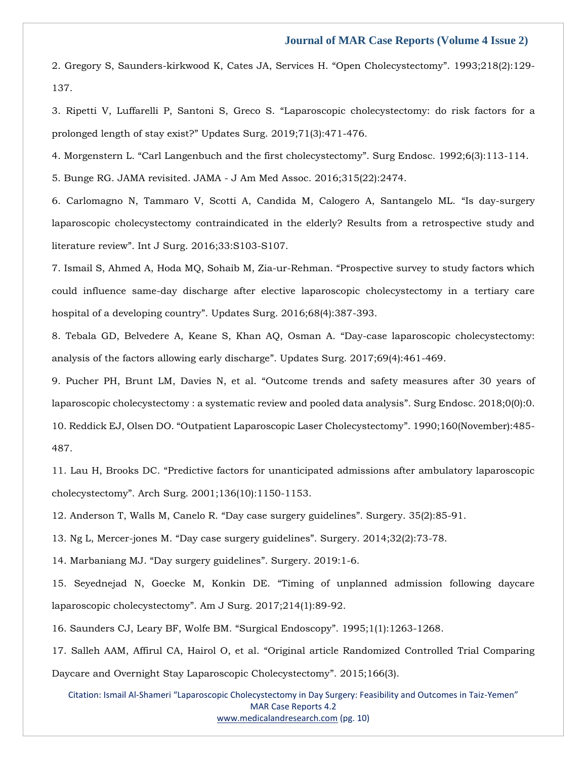2. [Gregory S, Saunders-kirkwood K, Cates JA, Services H.](https://www.google.com/search?q=Open+Cholecystectomy&sxsrf=AOaemvLoK1qPYA0OiBjo1Er5-MhlFs-eTg%3A1642515190478&ei=9srmYYCzHIGeseMPnOuU2AY&ved=0ahUKEwiAht3zvbv1AhUBT2wGHZw1BWsQ4dUDCA4&uact=5&oq=Open+Cholecystectomy&gs_lcp=Cgdnd3Mtd2l6EAMyBwgAELEDEEMyBAgAEEMyBAgAEEMyBAgAEEMyBAgAEEMyBAgAEEMyBQgAEIAEMgUIABCABDIFCAAQgAQyBAgAEEM6BwgjEOoCECdKBAhBGABKBAhGGABQ7QRY7QRg8QZoAXAAeACAAaoBiAGqAZIBAzAuMZgBAKABAaABArABCsABAQ&sclient=gws-wiz) "Open Cholecystectomy". 1993;218(2):129- [137.](https://www.google.com/search?q=Open+Cholecystectomy&sxsrf=AOaemvLoK1qPYA0OiBjo1Er5-MhlFs-eTg%3A1642515190478&ei=9srmYYCzHIGeseMPnOuU2AY&ved=0ahUKEwiAht3zvbv1AhUBT2wGHZw1BWsQ4dUDCA4&uact=5&oq=Open+Cholecystectomy&gs_lcp=Cgdnd3Mtd2l6EAMyBwgAELEDEEMyBAgAEEMyBAgAEEMyBAgAEEMyBAgAEEMyBAgAEEMyBQgAEIAEMgUIABCABDIFCAAQgAQyBAgAEEM6BwgjEOoCECdKBAhBGABKBAhGGABQ7QRY7QRg8QZoAXAAeACAAaoBiAGqAZIBAzAuMZgBAKABAaABArABCsABAQ&sclient=gws-wiz)

3. Ripetti V, Luffarelli P, Santoni S, Greco S. "[Laparoscopic cholecystectomy: do risk factors](https://www.google.com/search?q=Laparoscopic+cholecystectomy%3A+do+risk+factors+for+a+prolonged+length+of+stay+exist%3F&oq=Laparoscopic+cholecystectomy%3A+do+risk+factors+for+a+prolonged+length+of+stay+exist%3F&aqs=chrome..69i57.2760j0j7&sourceid=chrome&ie=UTF-8) for a prolonged length of stay exist?" [Updates Surg. 2019;71\(3\):471-476.](https://www.google.com/search?q=Laparoscopic+cholecystectomy%3A+do+risk+factors+for+a+prolonged+length+of+stay+exist%3F&oq=Laparoscopic+cholecystectomy%3A+do+risk+factors+for+a+prolonged+length+of+stay+exist%3F&aqs=chrome..69i57.2760j0j7&sourceid=chrome&ie=UTF-8)

4. Morgenstern L. "[Carl Langenbuch and the first cholecystectomy](https://www.google.com/search?q=Carl+Langenbuch+and+the+first+cholecystectomy&sxsrf=AOaemvIbU4W8EhYXM2-yXaHgmuWJ98W_XQ%3A1642578591231&ei=n8LnYbvBDcui-Qb5mqfYBQ&ved=0ahUKEwj7jMiLqr31AhVLUd4KHXnNCVsQ4dUDCA4&uact=5&oq=Carl+Langenbuch+and+the+first+cholecystectomy&gs_lcp=Cgdnd3Mtd2l6EAMyBwgjEOoCECcyBwgjEOoCECcyBwgjEOoCECcyBwgjEOoCECcyBwgjEOoCECcyBwgjEOoCECcyBwgjEOoCECcyBwgjEOoCECcyBwgjEOoCECcyBwgjEOoCECdKBAhBGABKBAhGGABQtw9Ytw9g7BBoAXAAeACAAQCIAQCSAQCYAQCgAQGgAQKwAQrAAQE&sclient=gws-wiz)". Surg Endosc. 1992;6(3):113-114.

[5. Bunge RG. JAMA revisited. JAMA -](https://www.google.com/search?q=Carl+Langenbuch+and+the+first+cholecystectomy&sxsrf=AOaemvIbU4W8EhYXM2-yXaHgmuWJ98W_XQ%3A1642578591231&ei=n8LnYbvBDcui-Qb5mqfYBQ&ved=0ahUKEwj7jMiLqr31AhVLUd4KHXnNCVsQ4dUDCA4&uact=5&oq=Carl+Langenbuch+and+the+first+cholecystectomy&gs_lcp=Cgdnd3Mtd2l6EAMyBwgjEOoCECcyBwgjEOoCECcyBwgjEOoCECcyBwgjEOoCECcyBwgjEOoCECcyBwgjEOoCECcyBwgjEOoCECcyBwgjEOoCECcyBwgjEOoCECcyBwgjEOoCECdKBAhBGABKBAhGGABQtw9Ytw9g7BBoAXAAeACAAQCIAQCSAQCYAQCgAQGgAQKwAQrAAQE&sclient=gws-wiz) J Am Med Assoc. 2016;315(22):2474.

6. [Carlomagno N, Tammaro V, Scotti A, Candida M, Calogero A, Santangelo ML.](https://www.google.com/search?q=Is+day-surgery+laparoscopic+cholecystectomy+contraindicated+in+the+elderly%3F+Results+from+a+retrospective+study+and+literature+review&sxsrf=AOaemvLYaUV2557cJY4I2NWU8kHKezwPMg%3A1642578632695&ei=yMLnYe79Kdjj-AbfrKqYDQ&ved=0ahUKEwjugaufqr31AhXYMd4KHV-WCtMQ4dUDCA4&uact=5&oq=Is+day-surgery+laparoscopic+cholecystectomy+contraindicated+in+the+elderly%3F+Results+from+a+retrospective+study+and+literature+review&gs_lcp=Cgdnd3Mtd2l6EAMyBwgjEOoCECcyBwgjEOoCECcyBwgjEOoCECcyBwgjEOoCECcyBwgjEOoCECcyBwgjEOoCECcyBwgjEOoCECcyBwgjEOoCECcyBwgjEOoCECcyBwgjEOoCECdKBAhBGABKBAhGGABQxW9YxW9gz3poAXAAeACAAQCIAQCSAQCYAQCgAQGgAQKwAQrAAQE&sclient=gws-wiz) "Is day-surgery [laparoscopic cholecystectomy contraindicated in the elderly? Results from a retrospective study and](https://www.google.com/search?q=Is+day-surgery+laparoscopic+cholecystectomy+contraindicated+in+the+elderly%3F+Results+from+a+retrospective+study+and+literature+review&sxsrf=AOaemvLYaUV2557cJY4I2NWU8kHKezwPMg%3A1642578632695&ei=yMLnYe79Kdjj-AbfrKqYDQ&ved=0ahUKEwjugaufqr31AhXYMd4KHV-WCtMQ4dUDCA4&uact=5&oq=Is+day-surgery+laparoscopic+cholecystectomy+contraindicated+in+the+elderly%3F+Results+from+a+retrospective+study+and+literature+review&gs_lcp=Cgdnd3Mtd2l6EAMyBwgjEOoCECcyBwgjEOoCECcyBwgjEOoCECcyBwgjEOoCECcyBwgjEOoCECcyBwgjEOoCECcyBwgjEOoCECcyBwgjEOoCECcyBwgjEOoCECcyBwgjEOoCECdKBAhBGABKBAhGGABQxW9YxW9gz3poAXAAeACAAQCIAQCSAQCYAQCgAQGgAQKwAQrAAQE&sclient=gws-wiz)  literature review"[. Int J Surg. 2016;33:S103-S107.](https://www.google.com/search?q=Is+day-surgery+laparoscopic+cholecystectomy+contraindicated+in+the+elderly%3F+Results+from+a+retrospective+study+and+literature+review&sxsrf=AOaemvLYaUV2557cJY4I2NWU8kHKezwPMg%3A1642578632695&ei=yMLnYe79Kdjj-AbfrKqYDQ&ved=0ahUKEwjugaufqr31AhXYMd4KHV-WCtMQ4dUDCA4&uact=5&oq=Is+day-surgery+laparoscopic+cholecystectomy+contraindicated+in+the+elderly%3F+Results+from+a+retrospective+study+and+literature+review&gs_lcp=Cgdnd3Mtd2l6EAMyBwgjEOoCECcyBwgjEOoCECcyBwgjEOoCECcyBwgjEOoCECcyBwgjEOoCECcyBwgjEOoCECcyBwgjEOoCECcyBwgjEOoCECcyBwgjEOoCECcyBwgjEOoCECdKBAhBGABKBAhGGABQxW9YxW9gz3poAXAAeACAAQCIAQCSAQCYAQCgAQGgAQKwAQrAAQE&sclient=gws-wiz)

7. [Ismail S, Ahmed A, Hoda MQ, Sohaib M, Zia-ur-Rehman.](https://www.google.com/search?q=Prospective+survey+to+study+factors+which+could+influence+same-day+discharge+after+elective+laparoscopic+cholecystectomy+in+a+tertiary+care+hospital+of+a+developing+country&sxsrf=AOaemvLuoGuhQNCis6l_qj-ItSdXBGqD6g%3A1642582577371&ei=MdLnYa6NFr6VseMPzOqd4AY&ved=0ahUKEwju6ab4uL31AhW-SmwGHUx1B2wQ4dUDCA4&uact=5&oq=Prospective+survey+to+study+factors+which+could+influence+same-day+discharge+after+elective+laparoscopic+cholecystectomy+in+a+tertiary+care+hospital+of+a+developing+country&gs_lcp=Cgdnd3Mtd2l6EAMyBwgjEOoCECcyBwgjEOoCECcyBwgjEOoCECcyBwgjEOoCECcyBwgjEOoCECcyBwgjEOoCECcyBwgjEOoCECcyBwgjEOoCECcyBwgjEOoCECcyBwgjEOoCECdKBAhBGABKBAhGGABQ8QVY8QVgxghoAXAAeACAAQCIAQCSAQCYAQCgAQGgAQKwAQrAAQE&sclient=gws-wiz) "Prospective survey to study factors which [could influence same-day discharge after elective laparoscopic cholecystectomy in a tertiary care](https://www.google.com/search?q=Prospective+survey+to+study+factors+which+could+influence+same-day+discharge+after+elective+laparoscopic+cholecystectomy+in+a+tertiary+care+hospital+of+a+developing+country&sxsrf=AOaemvLuoGuhQNCis6l_qj-ItSdXBGqD6g%3A1642582577371&ei=MdLnYa6NFr6VseMPzOqd4AY&ved=0ahUKEwju6ab4uL31AhW-SmwGHUx1B2wQ4dUDCA4&uact=5&oq=Prospective+survey+to+study+factors+which+could+influence+same-day+discharge+after+elective+laparoscopic+cholecystectomy+in+a+tertiary+care+hospital+of+a+developing+country&gs_lcp=Cgdnd3Mtd2l6EAMyBwgjEOoCECcyBwgjEOoCECcyBwgjEOoCECcyBwgjEOoCECcyBwgjEOoCECcyBwgjEOoCECcyBwgjEOoCECcyBwgjEOoCECcyBwgjEOoCECcyBwgjEOoCECdKBAhBGABKBAhGGABQ8QVY8QVgxghoAXAAeACAAQCIAQCSAQCYAQCgAQGgAQKwAQrAAQE&sclient=gws-wiz)  hospital of a developing country"[. Updates Surg. 2016;68\(4\):387-393.](https://www.google.com/search?q=Prospective+survey+to+study+factors+which+could+influence+same-day+discharge+after+elective+laparoscopic+cholecystectomy+in+a+tertiary+care+hospital+of+a+developing+country&sxsrf=AOaemvLuoGuhQNCis6l_qj-ItSdXBGqD6g%3A1642582577371&ei=MdLnYa6NFr6VseMPzOqd4AY&ved=0ahUKEwju6ab4uL31AhW-SmwGHUx1B2wQ4dUDCA4&uact=5&oq=Prospective+survey+to+study+factors+which+could+influence+same-day+discharge+after+elective+laparoscopic+cholecystectomy+in+a+tertiary+care+hospital+of+a+developing+country&gs_lcp=Cgdnd3Mtd2l6EAMyBwgjEOoCECcyBwgjEOoCECcyBwgjEOoCECcyBwgjEOoCECcyBwgjEOoCECcyBwgjEOoCECcyBwgjEOoCECcyBwgjEOoCECcyBwgjEOoCECcyBwgjEOoCECdKBAhBGABKBAhGGABQ8QVY8QVgxghoAXAAeACAAQCIAQCSAQCYAQCgAQGgAQKwAQrAAQE&sclient=gws-wiz)

8. [Tebala GD, Belvedere A, Keane S, Khan AQ, Osman A.](https://www.google.com/search?q=Day-case+laparoscopic+cholecystectomy%3A+analysis+of+the+factors+allowing+early+discharge&sxsrf=AOaemvKtstt9Haz-LuIXKVNMRyuhIcxFKQ%3A1642582597366&ei=RdLnYbfdFdGfseMP1Z-F-Ao&ved=0ahUKEwj3k-uBub31AhXRT2wGHdVPAa8Q4dUDCA4&uact=5&oq=Day-case+laparoscopic+cholecystectomy%3A+analysis+of+the+factors+allowing+early+discharge&gs_lcp=Cgdnd3Mtd2l6EAM6BwgjEOoCECdKBAhBGABKBAhGGABQxwZYxwZgugloAXAAeACAAYUCiAGFApIBAzItMZgBAKABAaABArABCsABAQ&sclient=gws-wiz) "Day-case laparoscopic cholecystectomy: [analysis of the factors allowing early discharge](https://www.google.com/search?q=Day-case+laparoscopic+cholecystectomy%3A+analysis+of+the+factors+allowing+early+discharge&sxsrf=AOaemvKtstt9Haz-LuIXKVNMRyuhIcxFKQ%3A1642582597366&ei=RdLnYbfdFdGfseMP1Z-F-Ao&ved=0ahUKEwj3k-uBub31AhXRT2wGHdVPAa8Q4dUDCA4&uact=5&oq=Day-case+laparoscopic+cholecystectomy%3A+analysis+of+the+factors+allowing+early+discharge&gs_lcp=Cgdnd3Mtd2l6EAM6BwgjEOoCECdKBAhBGABKBAhGGABQxwZYxwZgugloAXAAeACAAYUCiAGFApIBAzItMZgBAKABAaABArABCsABAQ&sclient=gws-wiz)". Updates Surg. 2017;69(4):461-469.

9. Pucher PH, Brunt LM, Davies N, et al. "[Outcome trends and safety measures after 30 years of](https://www.google.com/search?q=Outcome+trends+and+safety+measures+after+30+years+of+laparoscopic+cholecystectomy+%3A+a+systematic+review+and+pooled+data+analysis&sxsrf=AOaemvIIGev6QTckWeh3Zbh-5Rf7hVXneQ%3A1642582617232&ei=WdLnYY3eDdmeseMPh8GZ2AE&ved=0ahUKEwjN7qeLub31AhVZT2wGHYdgBhsQ4dUDCA4&uact=5&oq=Outcome+trends+and+safety+measures+after+30+years+of+laparoscopic+cholecystectomy+%3A+a+systematic+review+and+pooled+data+analysis&gs_lcp=Cgdnd3Mtd2l6EAMyBwgjEOoCECcyBwgjEOoCECcyBwgjEOoCECcyBwgjEOoCECcyBwgjEOoCECcyBwgjEOoCECcyBwgjEOoCECcyBwgjEOoCECcyBwgjEOoCECcyBwgjEOoCECdKBAhBGABKBAhGGABQ8wVY8wVg-gdoAXAAeACAAQCIAQCSAQCYAQCgAQGgAQKwAQrAAQE&sclient=gws-wiz)  [laparoscopic cholecystectomy : a systematic review and pooled data analysis](https://www.google.com/search?q=Outcome+trends+and+safety+measures+after+30+years+of+laparoscopic+cholecystectomy+%3A+a+systematic+review+and+pooled+data+analysis&sxsrf=AOaemvIIGev6QTckWeh3Zbh-5Rf7hVXneQ%3A1642582617232&ei=WdLnYY3eDdmeseMPh8GZ2AE&ved=0ahUKEwjN7qeLub31AhVZT2wGHYdgBhsQ4dUDCA4&uact=5&oq=Outcome+trends+and+safety+measures+after+30+years+of+laparoscopic+cholecystectomy+%3A+a+systematic+review+and+pooled+data+analysis&gs_lcp=Cgdnd3Mtd2l6EAMyBwgjEOoCECcyBwgjEOoCECcyBwgjEOoCECcyBwgjEOoCECcyBwgjEOoCECcyBwgjEOoCECcyBwgjEOoCECcyBwgjEOoCECcyBwgjEOoCECcyBwgjEOoCECdKBAhBGABKBAhGGABQ8wVY8wVg-gdoAXAAeACAAQCIAQCSAQCYAQCgAQGgAQKwAQrAAQE&sclient=gws-wiz)". Surg Endosc. 2018;0(0):0. 10. Reddick EJ, Olsen DO. "[Outpatient Laparoscopic Laser Cholecystectomy](https://www.google.com/search?q=Outpatient+Laparoscopic+Laser+Cholecystectomy&sxsrf=AOaemvI51ZeBijpkTe2fSjEr9E3E6UhbgA%3A1642582641027&ei=cdLnYY560pOx4w_B5J_YDA&ved=0ahUKEwjO9tOWub31AhXSSWwGHUHyB8sQ4dUDCA4&uact=5&oq=Outpatient+Laparoscopic+Laser+Cholecystectomy&gs_lcp=Cgdnd3Mtd2l6EAMyCAghEBYQHRAeOgcIIxDqAhAnSgQIQRgASgQIRhgAUJMGWJMGYMwIaAFwAHgAgAHvAYgB7wGSAQMyLTGYAQCgAQGgAQKwAQrAAQE&sclient=gws-wiz)". 1990;160(November):485- [487.](https://www.google.com/search?q=Outpatient+Laparoscopic+Laser+Cholecystectomy&sxsrf=AOaemvI51ZeBijpkTe2fSjEr9E3E6UhbgA%3A1642582641027&ei=cdLnYY560pOx4w_B5J_YDA&ved=0ahUKEwjO9tOWub31AhXSSWwGHUHyB8sQ4dUDCA4&uact=5&oq=Outpatient+Laparoscopic+Laser+Cholecystectomy&gs_lcp=Cgdnd3Mtd2l6EAMyCAghEBYQHRAeOgcIIxDqAhAnSgQIQRgASgQIRhgAUJMGWJMGYMwIaAFwAHgAgAHvAYgB7wGSAQMyLTGYAQCgAQGgAQKwAQrAAQE&sclient=gws-wiz)

11. Lau H, Brooks DC. "[Predictive factors for unanticipated admissions after ambulatory laparoscopic](https://www.google.com/search?q=Predictive+factors+for+unanticipated+admissions+after+ambulatory+laparoscopic+cholecystectomy&sxsrf=AOaemvJTkWMpjaxbSvvKxhAEDsns5SgjfQ%3A1642582666273&ei=itLnYbmREJiUseMP6qOV0Ag&ved=0ahUKEwi5_tiiub31AhUYSmwGHepRBYoQ4dUDCA4&uact=5&oq=Predictive+factors+for+unanticipated+admissions+after+ambulatory+laparoscopic+cholecystectomy&gs_lcp=Cgdnd3Mtd2l6EAM6BwgjEOoCECdKBAhBGABKBAhGGABQrwZYrwZg1whoAXACeACAAd4BiAHeAZIBAzItMZgBAKABAaABArABCsABAQ&sclient=gws-wiz)  cholecystectomy"[. Arch Surg. 2001;136\(10\):1150-1153.](https://www.google.com/search?q=Predictive+factors+for+unanticipated+admissions+after+ambulatory+laparoscopic+cholecystectomy&sxsrf=AOaemvJTkWMpjaxbSvvKxhAEDsns5SgjfQ%3A1642582666273&ei=itLnYbmREJiUseMP6qOV0Ag&ved=0ahUKEwi5_tiiub31AhUYSmwGHepRBYoQ4dUDCA4&uact=5&oq=Predictive+factors+for+unanticipated+admissions+after+ambulatory+laparoscopic+cholecystectomy&gs_lcp=Cgdnd3Mtd2l6EAM6BwgjEOoCECdKBAhBGABKBAhGGABQrwZYrwZg1whoAXACeACAAd4BiAHeAZIBAzItMZgBAKABAaABArABCsABAQ&sclient=gws-wiz)

12. [Anderson T, Walls M, Canelo R.](https://www.google.com/search?q=Day+case+surgery+guidelines&sxsrf=AOaemvK3gwA6LvzHjWNJyv5UD_LpQBpDuA%3A1642582684253&ei=nNLnYZHZDt-hseMPz-yY0AU&ved=0ahUKEwiRl6Krub31AhXfUGwGHU82BloQ4dUDCA4&uact=5&oq=Day+case+surgery+guidelines&gs_lcp=Cgdnd3Mtd2l6EAMyBQgAEIAEMgYIABAWEB4yBggAEBYQHjIGCAAQFhAeOgcIIxDqAhAnSgQIQRgASgQIRhgAUNMFWNMFYJIKaAFwAHgAgAHYAYgB2AGSAQMyLTGYAQCgAQGgAQKwAQrAAQE&sclient=gws-wiz) "Day case surgery guidelines". Surgery. 35(2):85-91.

13. Ng L, Mercer-jones M. "Day case surgery guidelines"[. Surgery. 2014;32\(2\):73-78.](https://www.google.com/search?q=Ng+L%2C+Mercer-jones+M.+%E2%80%9CDay+case+surgery+guidelines%E2%80%9D.+Surgery.+2014%3B32%282%29%3A73-78.+&sxsrf=AOaemvKkFJhqFhMWk9omlldHN9NkK83Psg%3A1642582701929&ei=rdLnYbCkOLWaseMPzIC8yAY&ved=0ahUKEwjwrtmzub31AhU1TWwGHUwAD2kQ4dUDCA4&uact=5&oq=Ng+L%2C+Mercer-jones+M.+%E2%80%9CDay+case+surgery+guidelines%E2%80%9D.+Surgery.+2014%3B32%282%29%3A73-78.+&gs_lcp=Cgdnd3Mtd2l6EAMyBwgjEOoCECcyBwgjEOoCECcyBwgjEOoCECcyBwgjEOoCECcyBwgjEOoCECcyBwgjEOoCECcyBwgjEOoCECcyBwgjEOoCECcyBwgjEOoCECcyBwgjEOoCECdKBAhBGABKBAhGGABQ1QdY1QdgyQhoAXACeACAAQCIAQCSAQCYAQCgAQGgAQKwAQrAAQE&sclient=gws-wiz)

14. Marbaniang MJ. "[Day surgery guidelines](https://www.google.com/search?q=Marbaniang+MJ.+%E2%80%9CDay+surgery+guidelines%E2%80%9D.+Surgery.+2019%3A1-6.+&sxsrf=AOaemvJWGThuJXR3tBrX_b_0uM_C0cb2KQ%3A1642582734097&ei=ztLnYbqfBcqfseMPzIOY2AE&ved=0ahUKEwi6voTDub31AhXKT2wGHcwBBhsQ4dUDCA4&uact=5&oq=Marbaniang+MJ.+%E2%80%9CDay+surgery+guidelines%E2%80%9D.+Surgery.+2019%3A1-6.+&gs_lcp=Cgdnd3Mtd2l6EAMyBwgjEOoCECcyBwgjEOoCECcyBwgjEOoCECcyBwgjEOoCECcyBwgjEOoCECcyBwgjEOoCECcyBwgjEOoCECcyBwgjEOoCECcyBwgjEOoCECcyBwgjEOoCECdKBAhBGABKBAhGGABQ6gVY6gVg4QdoAXAAeACAAQCIAQCSAQCYAQCgAQGgAQKwAQrAAQE&sclient=gws-wiz)". Surgery. 2019:1-6.

15. Seyednejad N, Goecke M, Konkin DE. "[Timing of unplanned admission following daycare](https://www.google.com/search?q=Timing+of+unplanned+admission+following+daycare+laparoscopic+cholecystectomy&sxsrf=AOaemvIRpJN79pXi2o_wvlVG0C3OQ1OjrA%3A1642582759336&ei=59LnYdbrE9SYseMPtPSyiAc&ved=0ahUKEwiW-4jPub31AhVUTGwGHTS6DHEQ4dUDCA4&uact=5&oq=Timing+of+unplanned+admission+following+daycare+laparoscopic+cholecystectomy&gs_lcp=Cgdnd3Mtd2l6EAM6BwgjEOoCECdKBAhBGABKBAhGGABQqgZYqgZgtwhoAXACeACAAfMBiAHzAZIBAzItMZgBAKABAaABArABCsABAQ&sclient=gws-wiz)  laparoscopic cholecystectomy"[. Am J Surg. 2017;214\(1\):89-92.](https://www.google.com/search?q=Timing+of+unplanned+admission+following+daycare+laparoscopic+cholecystectomy&sxsrf=AOaemvIRpJN79pXi2o_wvlVG0C3OQ1OjrA%3A1642582759336&ei=59LnYdbrE9SYseMPtPSyiAc&ved=0ahUKEwiW-4jPub31AhVUTGwGHTS6DHEQ4dUDCA4&uact=5&oq=Timing+of+unplanned+admission+following+daycare+laparoscopic+cholecystectomy&gs_lcp=Cgdnd3Mtd2l6EAM6BwgjEOoCECdKBAhBGABKBAhGGABQqgZYqgZgtwhoAXACeACAAfMBiAHzAZIBAzItMZgBAKABAaABArABCsABAQ&sclient=gws-wiz)

16. [Saunders CJ, Leary BF, Wolfe BM.](https://www.google.com/search?q=Surgical+Endoscopy&sxsrf=AOaemvK5ZlxId4MRIjl8xQFam3bQa6602w%3A1642582777386&ei=-dLnYafLFqaQseMPl42tmAo&ved=0ahUKEwjnq9bXub31AhUmSGwGHZdGC6MQ4dUDCA4&uact=5&oq=Surgical+Endoscopy&gs_lcp=Cgdnd3Mtd2l6EAMyBQgAEIAEMgUIABCABDIFCAAQgAQyBQgAEIAEMgUIABCABDIFCAAQgAQyBQgAEIAEMgUIABCABDIFCAAQgAQyBQgAEIAEOgcIIxDqAhAnSgQIQRgASgQIRhgAUIwGWIwGYMEIaAFwAHgAgAHlAYgB5QGSAQMyLTGYAQCgAQGgAQKwAQrAAQE&sclient=gws-wiz) "Surgical Endoscopy". 1995;1(1):1263-1268.

17. Salleh AAM, Affirul CA, Hairol O, et al. "[Original article Randomized Controlled Trial Comparing](https://www.google.com/search?q=Original+article+Randomized+Controlled+Trial+Comparing+Daycare+and+Overnight+Stay+Laparoscopic+Cholecystectomy&sxsrf=AOaemvLIQ3_s7oOvXxFXdaFDzO3oHhs--Q%3A1642582797340&ei=DdPnYZr0E-WhseMP0oma8Aw&ved=0ahUKEwjarpjhub31AhXlUGwGHdKEBs4Q4dUDCA4&uact=5&oq=Original+article+Randomized+Controlled+Trial+Comparing+Daycare+and+Overnight+Stay+Laparoscopic+Cholecystectomy&gs_lcp=Cgdnd3Mtd2l6EAMyBwgjEOoCECcyBwgjEOoCECcyBwgjEOoCECcyBwgjEOoCECcyBwgjEOoCECcyBwgjEOoCECcyBwgjEOoCECcyBwgjEOoCECcyBwgjEOoCECcyBwgjEOoCECdKBAhBGABKBAhGGABQjQZYjQZguwhoAXACeACAAQCIAQCSAQCYAQCgAQGgAQKwAQrAAQE&sclient=gws-wiz)  [Daycare and Overnight Stay Laparoscopic Cholecystectomy](https://www.google.com/search?q=Original+article+Randomized+Controlled+Trial+Comparing+Daycare+and+Overnight+Stay+Laparoscopic+Cholecystectomy&sxsrf=AOaemvLIQ3_s7oOvXxFXdaFDzO3oHhs--Q%3A1642582797340&ei=DdPnYZr0E-WhseMP0oma8Aw&ved=0ahUKEwjarpjhub31AhXlUGwGHdKEBs4Q4dUDCA4&uact=5&oq=Original+article+Randomized+Controlled+Trial+Comparing+Daycare+and+Overnight+Stay+Laparoscopic+Cholecystectomy&gs_lcp=Cgdnd3Mtd2l6EAMyBwgjEOoCECcyBwgjEOoCECcyBwgjEOoCECcyBwgjEOoCECcyBwgjEOoCECcyBwgjEOoCECcyBwgjEOoCECcyBwgjEOoCECcyBwgjEOoCECcyBwgjEOoCECdKBAhBGABKBAhGGABQjQZYjQZguwhoAXACeACAAQCIAQCSAQCYAQCgAQGgAQKwAQrAAQE&sclient=gws-wiz)". 2015;166(3).

Citation: Ismail Al-Shameri "Laparoscopic Cholecystectomy in Day Surgery: Feasibility and Outcomes in Taiz-Yemen" MAR Case Reports 4.2 [www.medicalandresearch.com](http://www.medicalandresearch.com/) (pg. 10)